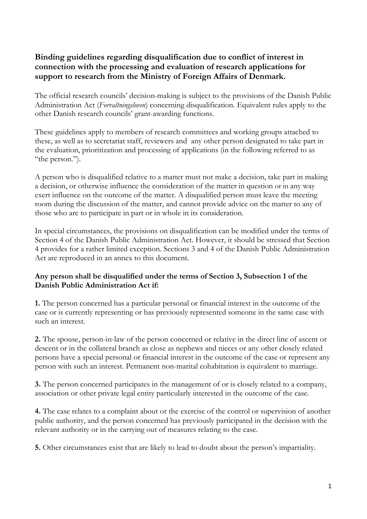# **Binding guidelines regarding disqualification due to conflict of interest in connection with the processing and evaluation of research applications for support to research from the Ministry of Foreign Affairs of Denmark.**

The official research councils' decision-making is subject to the provisions of the Danish Public Administration Act (*Forvaltningsloven*) concerning disqualification. Equivalent rules apply to the other Danish research councils' grant-awarding functions.

These guidelines apply to members of research committees and working groups attached to these, as well as to secretariat staff, reviewers and any other person designated to take part in the evaluation, prioritization and processing of applications (in the following referred to as "the person.").

A person who is disqualified relative to a matter must not make a decision, take part in making a decision, or otherwise influence the consideration of the matter in question or in any way exert influence on the outcome of the matter. A disqualified person must leave the meeting room during the discussion of the matter, and cannot provide advice on the matter to any of those who are to participate in part or in whole in its consideration.

In special circumstances, the provisions on disqualification can be modified under the terms of Section 4 of the Danish Public Administration Act. However, it should be stressed that Section 4 provides for a rather limited exception. Sections 3 and 4 of the Danish Public Administration Act are reproduced in an annex to this document.

## **Any person shall be disqualified under the terms of Section 3, Subsection 1 of the Danish Public Administration Act if:**

**1.** The person concerned has a particular personal or financial interest in the outcome of the case or is currently representing or has previously represented someone in the same case with such an interest.

**2.** The spouse, person-in-law of the person concerned or relative in the direct line of ascent or descent or in the collateral branch as close as nephews and nieces or any other closely related persons have a special personal or financial interest in the outcome of the case or represent any person with such an interest. Permanent non-marital cohabitation is equivalent to marriage.

**3.** The person concerned participates in the management of or is closely related to a company, association or other private legal entity particularly interested in the outcome of the case.

**4.** The case relates to a complaint about or the exercise of the control or supervision of another public authority, and the person concerned has previously participated in the decision with the relevant authority or in the carrying out of measures relating to the case.

**5.** Other circumstances exist that are likely to lead to doubt about the person's impartiality.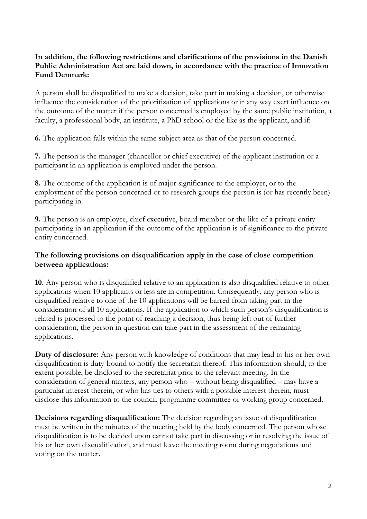### **In addition, the following restrictions and clarifications of the provisions in the Danish Public Administration Act are laid down, in accordance with the practice of Innovation Fund Denmark:**

A person shall be disqualified to make a decision, take part in making a decision, or otherwise influence the consideration of the prioritization of applications or in any way exert influence on the outcome of the matter if the person concerned is employed by the same public institution, a faculty, a professional body, an institute, a PhD school or the like as the applicant, and if:

**6.** The application falls within the same subject area as that of the person concerned.

**7.** The person is the manager (chancellor or chief executive) of the applicant institution or a participant in an application is employed under the person.

**8.** The outcome of the application is of major significance to the employer, or to the employment of the person concerned or to research groups the person is (or has recently been) participating in.

**9.** The person is an employee, chief executive, board member or the like of a private entity participating in an application if the outcome of the application is of significance to the private entity concerned.

## **The following provisions on disqualification apply in the case of close competition between applications:**

**10.** Any person who is disqualified relative to an application is also disqualified relative to other applications when 10 applicants or less are in competition. Consequently, any person who is disqualified relative to one of the 10 applications will be barred from taking part in the consideration of all 10 applications. If the application to which such person's disqualification is related is processed to the point of reaching a decision, thus being left out of further consideration, the person in question can take part in the assessment of the remaining applications.

**Duty of disclosure:** Any person with knowledge of conditions that may lead to his or her own disqualification is duty-bound to notify the secretariat thereof. This information should, to the extent possible, be disclosed to the secretariat prior to the relevant meeting. In the consideration of general matters, any person who – without being disqualified – may have a particular interest therein, or who has ties to others with a possible interest therein, must disclose this information to the council, programme committee or working group concerned.

**Decisions regarding disqualification:** The decision regarding an issue of disqualification must be written in the minutes of the meeting held by the body concerned. The person whose disqualification is to be decided upon cannot take part in discussing or in resolving the issue of his or her own disqualification, and must leave the meeting room during negotiations and voting on the matter.